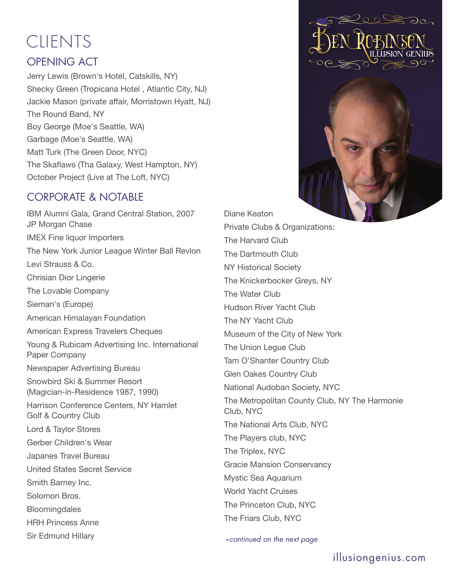# **CLIENTS**

### OPENING ACT

Jerry Lewis (Brown's Hotel, Catskills, NY) Shecky Green (Tropicana Hotel , Atlantic City, NJ) Jackie Mason (private affair, Morristown Hyatt, NJ) The Round Band, NY Boy George (Moe's Seattle, WA) Garbage (Moe's Seattle, WA) Matt Turk (The Green Door, NYC) The Skaflaws (Tha Galaxy, West Hampton, NY) October Project (Live at The Loft, NYC)

#### CORPORATE & NOTABLE

IBM Alumni Gala, Grand Central Station, 2007 JP Morgan Chase IMEX Fine liquor Importers The New York Junior League Winter Ball Revlon Levi Strauss & Co. Chrisian Dior Lingerie The Lovable Company Sieman's (Europe) American Himalayan Foundation American Express Travelers Cheques Young & Rubicam Advertising Inc. International Paper Company Newspaper Advertising Bureau Snowbird Ski & Summer Resort (Magician-in-Residence 1987, 1990) Harrison Conference Centers, NY Hamlet Golf & Country Club Lord & Taylor Stores Gerber Children's Wear Japanes Travel Bureau United States Secret Service Smith Barney Inc. Solomon Bros. **Bloomingdales** HRH Princess Anne Sir Edmund Hillary

Diane Keaton Private Clubs & Organizations: The Harvard Club The Dartmouth Club NY Historical Society The Knickerbocker Greys, NY The Water Club Hudson River Yacht Club The NY Yacht Club Museum of the City of New York The Union Legue Club Tam O'Shanter Country Club Glen Oakes Country Club National Audoban Society, NYC The Metropolitan County Club, NY The Harmonie Club, NYC The National Arts Club, NYC The Players club, NYC The Triplex, NYC Gracie Mansion Conservancy Mystic Sea Aquarium World Yacht Cruises The Princeton Club, NYC The Friars Club, NYC

 $\sim$ continued on the next page